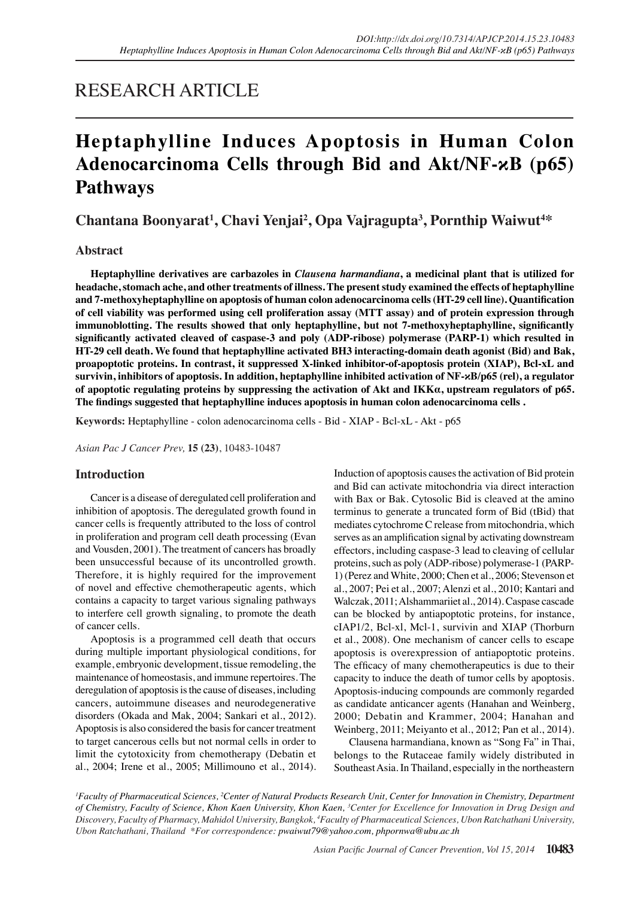## RESEARCH ARTICLE

# **Heptaphylline Induces Apoptosis in Human Colon Adenocarcinoma Cells through Bid and Akt/NF-κB (p65) Pathways**

Chantana Boonyarat<sup>1</sup>, Chavi Yenjai<sup>2</sup>, Opa Vajragupta<sup>3</sup>, Pornthip Waiwut<sup>4\*</sup>

## **Abstract**

**Heptaphylline derivatives are carbazoles in** *Clausena harmandiana***, a medicinal plant that is utilized for headache, stomach ache, and other treatments of illness. The present study examined the effects of heptaphylline and 7-methoxyheptaphylline on apoptosis of human colon adenocarcinoma cells (HT-29 cell line). Quantification of cell viability was performed using cell proliferation assay (MTT assay) and of protein expression through immunoblotting. The results showed that only heptaphylline, but not 7-methoxyheptaphylline, significantly significantly activated cleaved of caspase-3 and poly (ADP-ribose) polymerase (PARP-1) which resulted in HT-29 cell death. We found that heptaphylline activated BH3 interacting-domain death agonist (Bid) and Bak, proapoptotic proteins. In contrast, it suppressed X-linked inhibitor-of-apoptosis protein (XIAP), Bcl-xL and survivin, inhibitors of apoptosis. In addition, heptaphylline inhibited activation of NF-κB/p65 (rel), a regulator of apoptotic regulating proteins by suppressing the activation of Akt and IKKα, upstream regulators of p65. The findings suggested that heptaphylline induces apoptosis in human colon adenocarcinoma cells .**

**Keywords:** Heptaphylline - colon adenocarcinoma cells - Bid - XIAP - Bcl-xL - Akt - p65

*Asian Pac J Cancer Prev,* **15 (23)**, 10483-10487

## **Introduction**

Cancer is a disease of deregulated cell proliferation and inhibition of apoptosis. The deregulated growth found in cancer cells is frequently attributed to the loss of control in proliferation and program cell death processing (Evan and Vousden, 2001). The treatment of cancers has broadly been unsuccessful because of its uncontrolled growth. Therefore, it is highly required for the improvement of novel and effective chemotherapeutic agents, which contains a capacity to target various signaling pathways to interfere cell growth signaling, to promote the death of cancer cells.

Apoptosis is a programmed cell death that occurs during multiple important physiological conditions, for example, embryonic development, tissue remodeling, the maintenance of homeostasis, and immune repertoires. The deregulation of apoptosis is the cause of diseases, including cancers, autoimmune diseases and neurodegenerative disorders (Okada and Mak, 2004; Sankari et al., 2012). Apoptosis is also considered the basis for cancer treatment to target cancerous cells but not normal cells in order to limit the cytotoxicity from chemotherapy (Debatin et al., 2004; Irene et al., 2005; Millimouno et al., 2014). Induction of apoptosis causes the activation of Bid protein and Bid can activate mitochondria via direct interaction with Bax or Bak. Cytosolic Bid is cleaved at the amino terminus to generate a truncated form of Bid (tBid) that mediates cytochrome C release from mitochondria, which serves as an amplification signal by activating downstream effectors, including caspase-3 lead to cleaving of cellular proteins, such as poly (ADP-ribose) polymerase-1 (PARP-1) (Perez and White, 2000; Chen et al., 2006; Stevenson et al., 2007; Pei et al., 2007; Alenzi et al., 2010; Kantari and Walczak, 2011; Alshammariiet al., 2014). Caspase cascade can be blocked by antiapoptotic proteins, for instance, cIAP1/2, Bcl-xl, Mcl-1, survivin and XIAP (Thorburn et al., 2008). One mechanism of cancer cells to escape apoptosis is overexpression of antiapoptotic proteins. The efficacy of many chemotherapeutics is due to their capacity to induce the death of tumor cells by apoptosis. Apoptosis-inducing compounds are commonly regarded as candidate anticancer agents (Hanahan and Weinberg, 2000; Debatin and Krammer, 2004; Hanahan and Weinberg, 2011; Meiyanto et al., 2012; Pan et al., 2014).

Clausena harmandiana, known as "Song Fa" in Thai, belongs to the Rutaceae family widely distributed in Southeast Asia. In Thailand, especially in the northeastern

*1 Faculty of Pharmaceutical Sciences, 2 Center of Natural Products Research Unit, Center for Innovation in Chemistry, Department*  of Chemistry, Faculty of Science, Khon Kaen University, Khon Kaen, <sup>3</sup>Center for Excellence for Innovation in Drug Design and *Discovery, Faculty of Pharmacy, Mahidol University, Bangkok, 4 Faculty of Pharmaceutical Sciences, Ubon Ratchathani University, Ubon Ratchathani, Thailand \*For correspondence: pwaiwut79@yahoo.com, phpornwa@ubu.ac.th*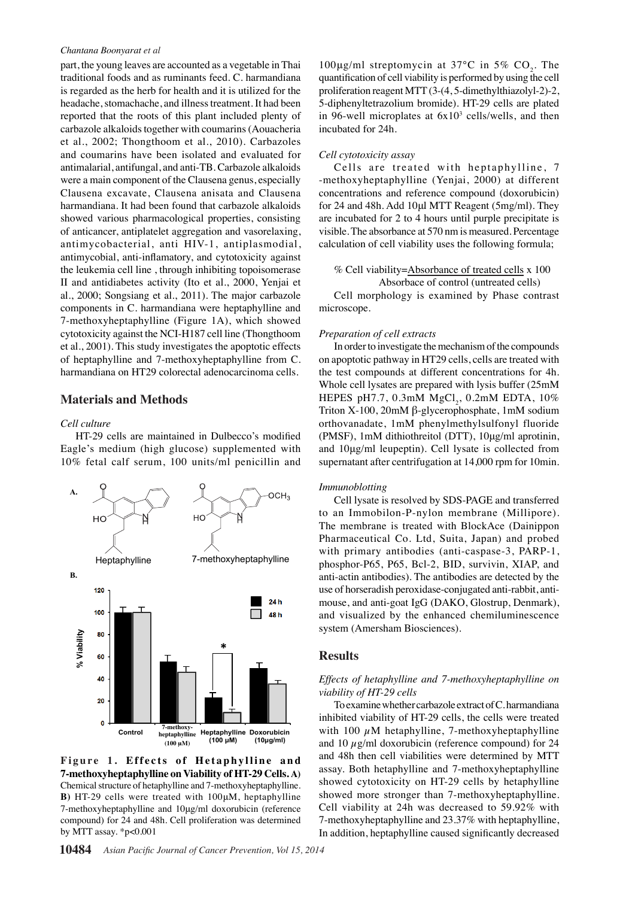#### *Chantana Boonyarat et al*

part, the young leaves are accounted as a vegetable in Thai traditional foods and as ruminants feed. C. harmandiana is regarded as the herb for health and it is utilized for the headache, stomachache, and illness treatment. It had been reported that the roots of this plant included plenty of carbazole alkaloids together with coumarins (Aouacheria et al., 2002; Thongthoom et al., 2010). Carbazoles and coumarins have been isolated and evaluated for antimalarial, antifungal, and anti-TB. Carbazole alkaloids were a main component of the Clausena genus, especially Clausena excavate, Clausena anisata and Clausena harmandiana. It had been found that carbazole alkaloids showed various pharmacological properties, consisting of anticancer, antiplatelet aggregation and vasorelaxing, antimycobacterial, anti HIV-1, antiplasmodial, antimycobial, anti-inflamatory, and cytotoxicity against the leukemia cell line , through inhibiting topoisomerase II and antidiabetes activity (Ito et al., 2000, Yenjai et al., 2000; Songsiang et al., 2011). The major carbazole components in C. harmandiana were heptaphylline and 7-methoxyheptaphylline (Figure 1A), which showed cytotoxicity against the NCI-H187 cell line (Thongthoom et al., 2001). This study investigates the apoptotic effects of heptaphylline and 7-methoxyheptaphylline from C. harmandiana on HT29 colorectal adenocarcinoma cells.

#### **Materials and Methods**

#### *Cell culture*

HT-29 cells are maintained in Dulbecco's modified Eagle's medium (high glucose) supplemented with 10% fetal calf serum, 100 units/ml penicillin and



Figure 1. Effects of Hetaphylline and **7-methoxyheptaphylline on Viability of HT-29 Cells. A)** Chemical structure of hetaphylline and 7-methoxyheptaphylline. **B)** HT-29 cells were treated with 100μM, heptaphylline 7-methoxyheptaphylline and 10μg/ml doxorubicin (reference compound) for 24 and 48h. Cell proliferation was determined by MTT assay. \*p<0.001

100 $\mu$ g/ml streptomycin at 37°C in 5% CO<sub>2</sub>. The quantification of cell viability is performed by using the cell proliferation reagent MTT (3-(4, 5-dimethylthiazolyl-2)-2, 5-diphenyltetrazolium bromide). HT-29 cells are plated in 96-well microplates at  $6x10^3$  cells/wells, and then incubated for 24h.

#### *Cell cytotoxicity assay*

Cells are treated with heptaphylline, 7 -methoxyheptaphylline (Yenjai, 2000) at different concentrations and reference compound (doxorubicin) for 24 and 48h. Add 10μl MTT Reagent (5mg/ml). They are incubated for 2 to 4 hours until purple precipitate is visible. The absorbance at 570 nm is measured. Percentage calculation of cell viability uses the following formula;

% Cell viability=Absorbance of treated cells x 100

 Absorbace of control (untreated cells) Cell morphology is examined by Phase contrast microscope.

#### *Preparation of cell extracts*

In order to investigate the mechanism of the compounds on apoptotic pathway in HT29 cells, cells are treated with the test compounds at different concentrations for 4h. Whole cell lysates are prepared with lysis buffer (25mM HEPES pH7.7,  $0.3$ mM  $MgCl_2$ ,  $0.2$ mM EDTA,  $10\%$ Triton X-100, 20mM β-glycerophosphate, 1mM sodium orthovanadate, 1mM phenylmethylsulfonyl fluoride (PMSF), 1mM dithiothreitol (DTT), 10μg/ml aprotinin, and 10μg/ml leupeptin). Cell lysate is collected from supernatant after centrifugation at 14,000 rpm for 10min.

#### *Immunoblotting*

Cell lysate is resolved by SDS-PAGE and transferred to an Immobilon-P-nylon membrane (Millipore). The membrane is treated with BlockAce (Dainippon Pharmaceutical Co. Ltd, Suita, Japan) and probed with primary antibodies (anti-caspase-3, PARP-1, phosphor-P65, P65, Bcl-2, BID, survivin, XIAP, and anti-actin antibodies). The antibodies are detected by the use of horseradish peroxidase-conjugated anti-rabbit, antimouse, and anti-goat IgG (DAKO, Glostrup, Denmark), and visualized by the enhanced chemiluminescence system (Amersham Biosciences).

#### **Results**

#### *Effects of hetaphylline and 7-methoxyheptaphylline on viability of HT-29 cells*

To examine whether carbazole extract of C. harmandiana inhibited viability of HT-29 cells, the cells were treated with 100  $\mu$ M hetaphylline, 7-methoxyheptaphylline and 10  $\mu$ g/ml doxorubicin (reference compound) for 24 and 48h then cell viabilities were determined by MTT assay. Both hetaphylline and 7-methoxyheptaphylline showed cytotoxicity on HT-29 cells by hetaphylline showed more stronger than 7-methoxyheptaphylline. Cell viability at 24h was decreased to 59.92% with 7-methoxyheptaphylline and 23.37% with heptaphylline, In addition, heptaphylline caused significantly decreased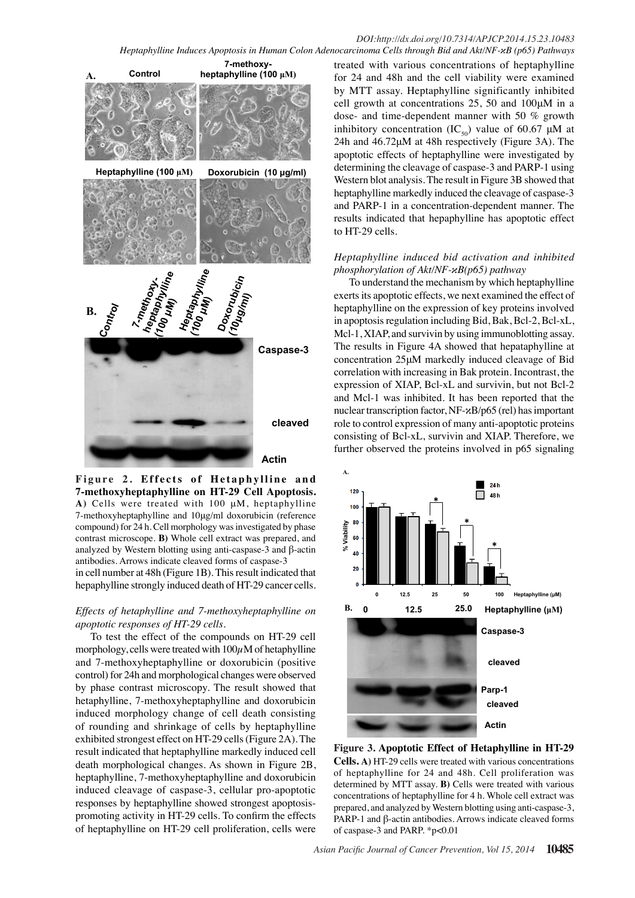

Figure 2. Effects of Hetaphylline and **7-methoxyheptaphylline on HT-29 Cell Apoptosis. A)** Cells were treated with 100 μM, heptaphylline 7-methoxyheptaphylline and 10μg/ml doxorubicin (reference compound) for 24 h. Cell morphology was investigated by phase contrast microscope. **B)** Whole cell extract was prepared, and analyzed by Western blotting using anti-caspase-3 and β-actin antibodies. Arrows indicate cleaved forms of caspase-3

in cell number at 48h (Figure 1B). This result indicated that hepaphylline strongly induced death of HT-29 cancer cells.

## *Effects of hetaphylline and 7-methoxyheptaphylline on apoptotic responses of HT-29 cells.*

To test the effect of the compounds on HT-29 cell morphology, cells were treated with  $100\mu$ M of hetaphylline and 7-methoxyheptaphylline or doxorubicin (positive control) for 24h and morphological changes were observed by phase contrast microscopy. The result showed that hetaphylline, 7-methoxyheptaphylline and doxorubicin induced morphology change of cell death consisting of rounding and shrinkage of cells by heptaphylline exhibited strongest effect on HT-29 cells (Figure 2A). The result indicated that heptaphylline markedly induced cell death morphological changes. As shown in Figure 2B, heptaphylline, 7-methoxyheptaphylline and doxorubicin induced cleavage of caspase-3, cellular pro-apoptotic responses by heptaphylline showed strongest apoptosispromoting activity in HT-29 cells. To confirm the effects of heptaphylline on HT-29 cell proliferation, cells were

treated with various concentrations of heptaphylline for 24 and 48h and the cell viability were examined by MTT assay. Heptaphylline significantly inhibited cell growth at concentrations 25, 50 and 100μM in a dose- and time-dependent manner with 50 % growth inhibitory concentration  $(IC_{50})$  value of 60.67  $\mu$ M at 24h and 46.72μM at 48h respectively (Figure 3A). The apoptotic effects of heptaphylline were investigated by determining the cleavage of caspase-3 and PARP-1 using Western blot analysis. The result in Figure 3B showed that heptaphylline markedly induced the cleavage of caspase-3 and PARP-1 in a concentration-dependent manner. The results indicated that hepaphylline has apoptotic effect to HT-29 cells.

## *Heptaphylline induced bid activation and inhibited phosphorylation of Akt/NF-κB(p65) pathway*

To understand the mechanism by which heptaphylline exerts its apoptotic effects, we next examined the effect of heptaphylline on the expression of key proteins involved in apoptosis regulation including Bid, Bak, Bcl-2, Bcl-xL, Mcl-1, XIAP, and survivin by using immunoblotting assay. The results in Figure 4A showed that hepataphylline at concentration 25μM markedly induced cleavage of Bid correlation with increasing in Bak protein. Incontrast, the expression of XIAP, Bcl-xL and survivin, but not Bcl-2 and Mcl-1 was inhibited. It has been reported that the nuclear transcription factor, NF-κB/p65 (rel) has important role to control expression of many anti-apoptotic proteins consisting of Bcl-xL, survivin and XIAP. Therefore, we further observed the proteins involved in p65 signaling



**Figure 3. Apoptotic Effect of Hetaphylline in HT-29 Cells. A)** HT-29 cells were treated with various concentrations of heptaphylline for 24 and 48h. Cell proliferation was determined by MTT assay. **B)** Cells were treated with various concentrations of heptaphylline for 4 h. Whole cell extract was prepared, and analyzed by Western blotting using anti-caspase-3, PARP-1 and β-actin antibodies. Arrows indicate cleaved forms of caspase-3 and PARP. \*p<0.01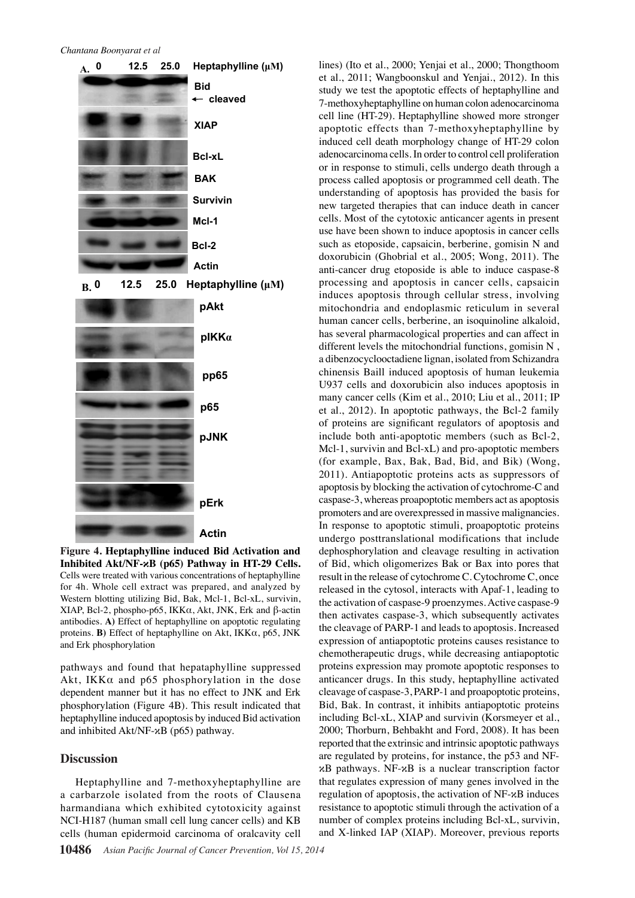#### *Chantana Boonyarat et al*



**Inhibited Akt/NF-κB (p65) Pathway in HT-29 Cells.**  Cells were treated with various concentrations of heptaphylline for 4h. Whole cell extract was prepared, and analyzed by Western blotting utilizing Bid, Bak, Mcl-1, Bcl-xL, survivin, XIAP, Bcl-2, phospho-p65, IKKα, Akt, JNK, Erk and β-actin antibodies. **A)** Effect of heptaphylline on apoptotic regulating proteins. **B)** Effect of heptaphylline on Akt, IKKα, p65, JNK and Erk phosphorylation

pathways and found that hepataphylline suppressed Akt, IKKα and p65 phosphorylation in the dose dependent manner but it has no effect to JNK and Erk phosphorylation (Figure 4B). This result indicated that heptaphylline induced apoptosis by induced Bid activation and inhibited Akt/NF-κB (p65) pathway.

#### **Discussion**

Heptaphylline and 7-methoxyheptaphylline are a carbarzole isolated from the roots of Clausena harmandiana which exhibited cytotoxicity against NCI-H187 (human small cell lung cancer cells) and KB cells (human epidermoid carcinoma of oralcavity cell

lines) (Ito et al., 2000; Yenjai et al., 2000; Thongthoom et al., 2011; Wangboonskul and Yenjai., 2012). In this study we test the apoptotic effects of heptaphylline and 7-methoxyheptaphylline on human colon adenocarcinoma cell line (HT-29). Heptaphylline showed more stronger apoptotic effects than 7-methoxyheptaphylline by induced cell death morphology change of HT-29 colon adenocarcinoma cells. In order to control cell proliferation or in response to stimuli, cells undergo death through a process called apoptosis or programmed cell death. The understanding of apoptosis has provided the basis for new targeted therapies that can induce death in cancer cells. Most of the cytotoxic anticancer agents in present use have been shown to induce apoptosis in cancer cells such as etoposide, capsaicin, berberine, gomisin N and doxorubicin (Ghobrial et al., 2005; Wong, 2011). The anti-cancer drug etoposide is able to induce caspase-8 processing and apoptosis in cancer cells, capsaicin induces apoptosis through cellular stress, involving mitochondria and endoplasmic reticulum in several human cancer cells, berberine, an isoquinoline alkaloid, has several pharmacological properties and can affect in different levels the mitochondrial functions, gomisin N , a dibenzocyclooctadiene lignan, isolated from Schizandra chinensis Baill induced apoptosis of human leukemia U937 cells and doxorubicin also induces apoptosis in many cancer cells (Kim et al., 2010; Liu et al., 2011; IP et al., 2012). In apoptotic pathways, the Bcl-2 family of proteins are significant regulators of apoptosis and include both anti-apoptotic members (such as Bcl-2, Mcl-1, survivin and Bcl-xL) and pro-apoptotic members (for example, Bax, Bak, Bad, Bid, and Bik) (Wong, 2011). Antiapoptotic proteins acts as suppressors of apoptosis by blocking the activation of cytochrome-C and caspase-3, whereas proapoptotic members act as apoptosis promoters and are overexpressed in massive malignancies. In response to apoptotic stimuli, proapoptotic proteins undergo posttranslational modifications that include dephosphorylation and cleavage resulting in activation of Bid, which oligomerizes Bak or Bax into pores that result in the release of cytochrome C. Cytochrome C, once released in the cytosol, interacts with Apaf-1, leading to the activation of caspase-9 proenzymes. Active caspase-9 then activates caspase-3, which subsequently activates the cleavage of PARP-1 and leads to apoptosis. Increased expression of antiapoptotic proteins causes resistance to chemotherapeutic drugs, while decreasing antiapoptotic proteins expression may promote apoptotic responses to anticancer drugs. In this study, heptaphylline activated cleavage of caspase-3, PARP-1 and proapoptotic proteins, Bid, Bak. In contrast, it inhibits antiapoptotic proteins including Bcl-xL, XIAP and survivin (Korsmeyer et al., 2000; Thorburn, Behbakht and Ford, 2008). It has been reported that the extrinsic and intrinsic apoptotic pathways are regulated by proteins, for instance, the p53 and NFκB pathways. NF-κB is a nuclear transcription factor that regulates expression of many genes involved in the regulation of apoptosis, the activation of NF-κB induces resistance to apoptotic stimuli through the activation of a number of complex proteins including Bcl-xL, survivin, and X-linked IAP (XIAP). Moreover, previous reports